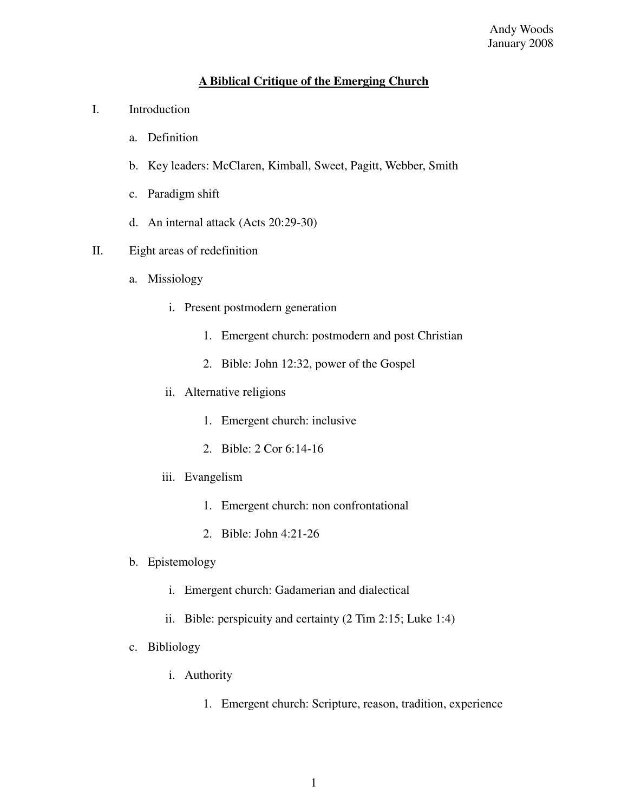## **A Biblical Critique of the Emerging Church**

- I. Introduction
	- a. Definition
	- b. Key leaders: McClaren, Kimball, Sweet, Pagitt, Webber, Smith
	- c. Paradigm shift
	- d. An internal attack (Acts 20:29-30)
- II. Eight areas of redefinition
	- a. Missiology
		- i. Present postmodern generation
			- 1. Emergent church: postmodern and post Christian
			- 2. Bible: John 12:32, power of the Gospel
		- ii. Alternative religions
			- 1. Emergent church: inclusive
			- 2. Bible: 2 Cor 6:14-16
		- iii. Evangelism
			- 1. Emergent church: non confrontational
			- 2. Bible: John 4:21-26
	- b. Epistemology
		- i. Emergent church: Gadamerian and dialectical
		- ii. Bible: perspicuity and certainty (2 Tim 2:15; Luke 1:4)
	- c. Bibliology
		- i. Authority
			- 1. Emergent church: Scripture, reason, tradition, experience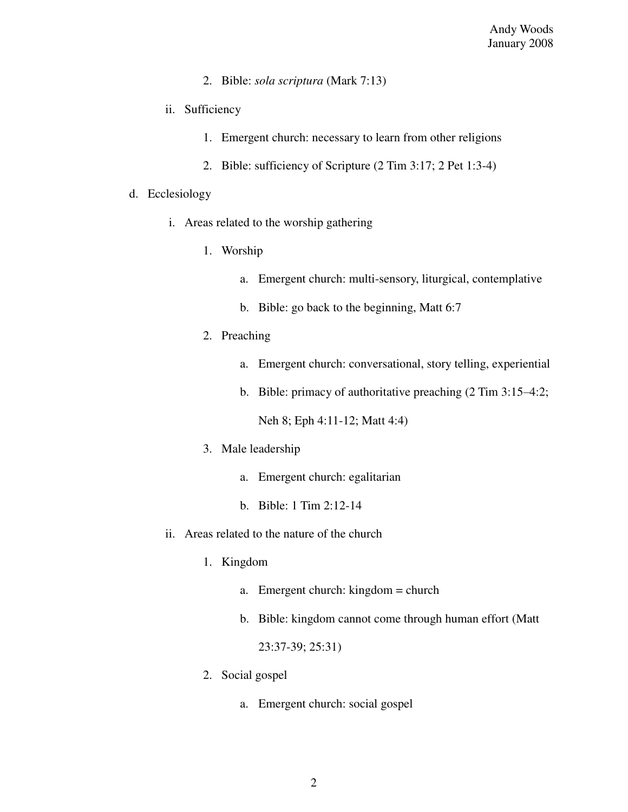- 2. Bible: *sola scriptura* (Mark 7:13)
- ii. Sufficiency
	- 1. Emergent church: necessary to learn from other religions
	- 2. Bible: sufficiency of Scripture (2 Tim 3:17; 2 Pet 1:3-4)

## d. Ecclesiology

- i. Areas related to the worship gathering
	- 1. Worship
		- a. Emergent church: multi-sensory, liturgical, contemplative
		- b. Bible: go back to the beginning, Matt 6:7
	- 2. Preaching
		- a. Emergent church: conversational, story telling, experiential
		- b. Bible: primacy of authoritative preaching (2 Tim 3:15–4:2;

Neh 8; Eph 4:11-12; Matt 4:4)

- 3. Male leadership
	- a. Emergent church: egalitarian
	- b. Bible: 1 Tim 2:12-14
- ii. Areas related to the nature of the church
	- 1. Kingdom
		- a. Emergent church: kingdom = church
		- b. Bible: kingdom cannot come through human effort (Matt

23:37-39; 25:31)

- 2. Social gospel
	- a. Emergent church: social gospel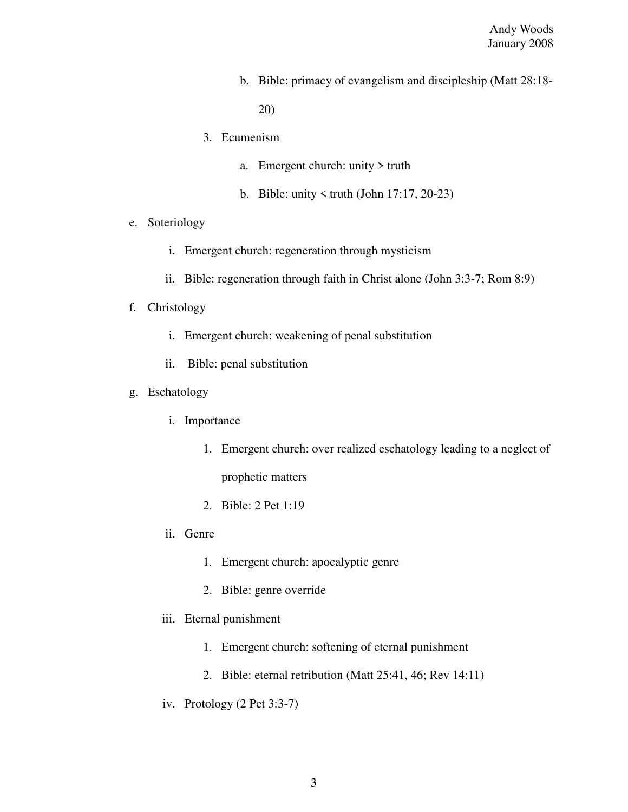b. Bible: primacy of evangelism and discipleship (Matt 28:18-

20)

- 3. Ecumenism
	- a. Emergent church: unity > truth
	- b. Bible: unity  $\le$  truth (John 17:17, 20-23)
- e. Soteriology
	- i. Emergent church: regeneration through mysticism
	- ii. Bible: regeneration through faith in Christ alone (John 3:3-7; Rom 8:9)
- f. Christology
	- i. Emergent church: weakening of penal substitution
	- ii. Bible: penal substitution
- g. Eschatology
	- i. Importance
		- 1. Emergent church: over realized eschatology leading to a neglect of

prophetic matters

- 2. Bible: 2 Pet 1:19
- ii. Genre
	- 1. Emergent church: apocalyptic genre
	- 2. Bible: genre override
- iii. Eternal punishment
	- 1. Emergent church: softening of eternal punishment
	- 2. Bible: eternal retribution (Matt 25:41, 46; Rev 14:11)
- iv. Protology (2 Pet 3:3-7)